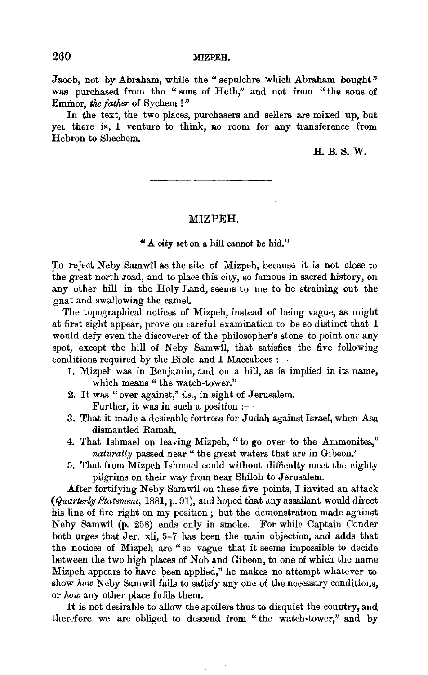### 260 MIZPEH.

Jacob, not by Abraham, while the "sepulchre which Abraham bought" was purchased from the "sons of Heth," and not from "the sons of Emmor, the father of Sychem !"

In the text, the two places, purchasers and sellers are mixed up, but yet there is, I venture to think, no room for any transference from Hebron to Shechem.

# H.B.S. W.

### MIZPEH.

### " .A. oity set on a hill cannot be hid."

To reject Neby Samwil as the site of Mizpeh, because it is not close to the great north road, and to place this city, so famous in sacred history, on any other hill in the Holy Land, seems to me to be straining out the gnat and swallowing the camel.

The topographical notices of Mizpeh, instead of being vague, as might at first sight appear, prove on careful examination to be so distinct that I would defy even the discoverer of the philosopher's stone to point out any spot, except the hill of Neby Samwil, that satisfies the five following conditions required by the Bible and I Maccabees :-

- 1. Mizpeh was in Benjamin, and on a hill, as is implied in its name, which means " the watch-tower."
- 2. It was "over against," *i.e.,* in sight of Jerusalem. Further, it was in such a position :-
- 3. That it made a desirable fortress for J udah against Israel, when Asa dismantled Ramah.
- 4. That Ishmael on leaving Mizpeh, "to go over to the Ammonites," naturally passed near "the great waters that are in Gibeon."
- 5. That from Mizpeh Ishmael could without difficulty meet the eighty pilgrims on their way from near Shiloh to Jerusalem.

After fortifying Neby Samwil on these five points, I invited an attack *(Quarterly Statement,* 1881, p. 91), and hoped that any assailant would direct his line of fire right on my position ; but the demonstration made against N eby Samwil (p. 258) ends only in smoke. For while Captain Conder both urges that Jer. xli, 5-7 has been the main objection, and adds that the notices of Mizpeh are "so vague that it seems impossible to decide between the two high places of Nob and Gibeon, to one of which the name Mizpeh appears to have been applied," he makes no attempt whatever to show *how* Neby Samwil fails to satisfy any one of the necessary conditions, or *how* any other place fufils them.

It is not desirable to allow the spoilers thus to disquiet the country, and therefore we are obliged to descend from "the watch-tower," and by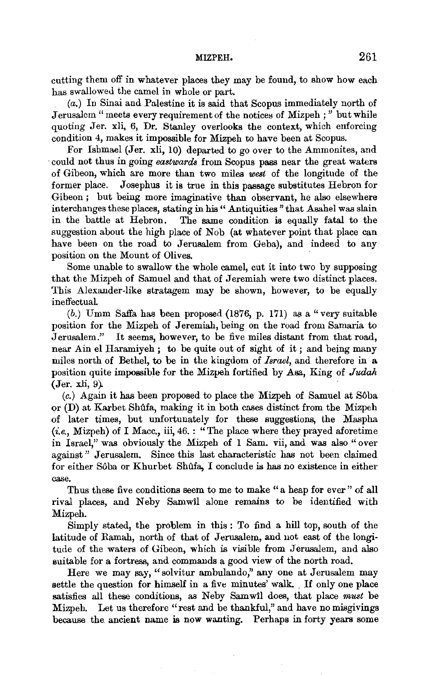cutting them off in whatever places they may be found, to show how each has swallowed the camel in whole or part.

*(a.)* In Sinai and Palestine it is said that Scopus immediately north of Jerusalem "meets every requirement of the notices of Mizpeh;" but while quoting Jer. xli, 6, Dr. Stanley overlooks the context, which enforcing condition 4, makes it impossible for Mizpeh to have been at Scopus.

For Ishmael (Jer. xli, 10) departed to go over to the Ammonites, and ·could not thus in going *eastwards* from Scopus pass near the great waters of Gibeon, which are more than two miles *west* of the longitude of the former place. Josephus it is true in this passage substitutes Hebron for Gibeon; but being more imaginative than observant, he also elsewhere interchanges these places, stating in his" Antiquities" that Asahel was slain in the battle at Hebron. The same condition is equally fatal to the suggestion about the high place of Nob (at whatever point that place can have been on the road to Jerusalem from Geba), and indeed to any position on the Mount of Olives.

Some unable to swallow the whole camel, cut it into two by supposing that the Mizpeh of Samuel and that of Jeremiah were two distinct places. This Alexander-like stratagem may be shown, however, to be equally ineffectuaL

 $(b.)$  Umm Saffa has been proposed  $(1876, p. 171)$  as a "very suitable position for the Mizpeh of Jeremiah, being on the road from Samaria to Jerusalem." It seems, however, to be five miles distant from that road, near Ain el Haramiyeh ; to be quite out of sight of it ; and being many miles north of Bethel, to be in the kingdom of *Israel,* and therefore in a position quite impossible for the Mizpeh fortified by Asa, King of *Judah*   $(Jer. xli, 9)$ .

(c.) Again it has been proposed to place the Mizpeh of Samuel at S6ba or  $(D)$  at Karbet Shûfa, making it in both cases distinct from the Mizpeh of later times, but unfortunately for these suggestions, the Maspha  $(i.e., Mizpeh)$  of I Macc., iii,  $46.$ : "The place where they prayed aforetime in Israel," was obviously the Mizpeh of 1 Sam. vii, and was also "over against " Jerusalem. Since this last characteristic has not been claimed for either Sôba or Khurbet Shûfa, I conclude is has no existence in either case.

Thus these five conditions seem to me to make "a heap for ever" of all rival places, and Neby Samwil alone remains to be identified with Mizpeh.

Simply stated, the problem in this : To find a bill top, south of the latitude of Ramah, north of that of Jerusalem, and not east of the longitude of the waters of Gibeon, which is visible from Jerusalem, and also suitable for a fortress, and commands a good view of the north road.

Here we may say, "solvitur ambulando," any one at Jerusalem may<br>Here we may say, "solvitur ambulando," any one at Jerusalem may<br>the the question for himself in a five minutes' walk. If only one place settle the question for himself in a five minutes' walk. If only one place satisfies all these conditions, as Neby Samwil does, that place must be Mizpeh. Let us therefore "rest and be thankful," and have no misgivings because the. ancient name is now wanting. Perhaps in forty years some